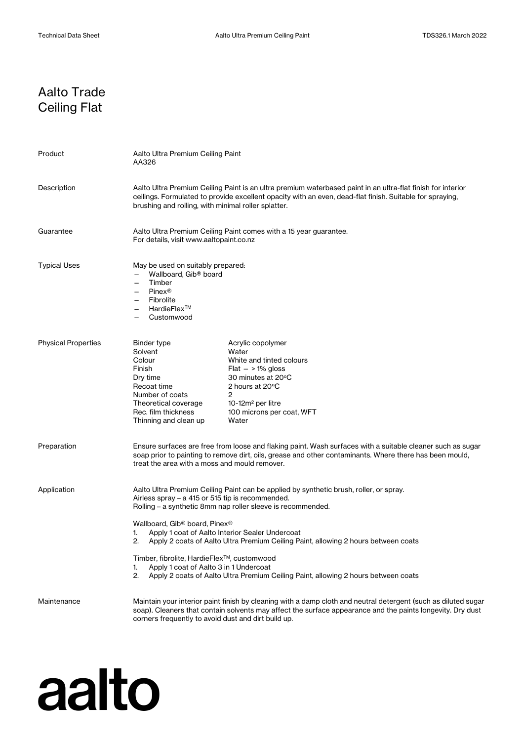## Aalto Trade Ceiling Flat

| Product                    | Aalto Ultra Premium Ceiling Paint<br>AA326                                                                                                                                                                                                                                                                                                                                                                                                                                                                                                                                          |                                                                                                                                                                                          |
|----------------------------|-------------------------------------------------------------------------------------------------------------------------------------------------------------------------------------------------------------------------------------------------------------------------------------------------------------------------------------------------------------------------------------------------------------------------------------------------------------------------------------------------------------------------------------------------------------------------------------|------------------------------------------------------------------------------------------------------------------------------------------------------------------------------------------|
| Description                | Aalto Ultra Premium Ceiling Paint is an ultra premium waterbased paint in an ultra-flat finish for interior<br>ceilings. Formulated to provide excellent opacity with an even, dead-flat finish. Suitable for spraying,<br>brushing and rolling, with minimal roller splatter.                                                                                                                                                                                                                                                                                                      |                                                                                                                                                                                          |
| Guarantee                  | Aalto Ultra Premium Ceiling Paint comes with a 15 year guarantee.<br>For details, visit www.aaltopaint.co.nz                                                                                                                                                                                                                                                                                                                                                                                                                                                                        |                                                                                                                                                                                          |
| <b>Typical Uses</b>        | May be used on suitably prepared:<br>Wallboard, Gib® board<br>Timber<br><b>Pinex®</b><br>Fibrolite<br>HardieFlex™<br>Customwood                                                                                                                                                                                                                                                                                                                                                                                                                                                     |                                                                                                                                                                                          |
| <b>Physical Properties</b> | Binder type<br>Solvent<br>Colour<br>Finish<br>Dry time<br>Recoat time<br>Number of coats<br>Theoretical coverage<br>Rec. film thickness<br>Thinning and clean up                                                                                                                                                                                                                                                                                                                                                                                                                    | Acrylic copolymer<br>Water<br>White and tinted colours<br>$Flat - 1\%$ gloss<br>30 minutes at 20°C<br>2 hours at 20°C<br>2<br>10-12 $m2$ per litre<br>100 microns per coat, WFT<br>Water |
| Preparation                | Ensure surfaces are free from loose and flaking paint. Wash surfaces with a suitable cleaner such as sugar<br>soap prior to painting to remove dirt, oils, grease and other contaminants. Where there has been mould,<br>treat the area with a moss and mould remover.                                                                                                                                                                                                                                                                                                              |                                                                                                                                                                                          |
| Application                | Aalto Ultra Premium Ceiling Paint can be applied by synthetic brush, roller, or spray.<br>Airless spray – a 415 or 515 tip is recommended.<br>Rolling – a synthetic 8mm nap roller sleeve is recommended.<br>Wallboard, Gib® board, Pinex®<br>Apply 1 coat of Aalto Interior Sealer Undercoat<br>1.<br>Apply 2 coats of Aalto Ultra Premium Ceiling Paint, allowing 2 hours between coats<br>Timber, fibrolite, HardieFlex™, customwood<br>Apply 1 coat of Aalto 3 in 1 Undercoat<br>1.<br>Apply 2 coats of Aalto Ultra Premium Ceiling Paint, allowing 2 hours between coats<br>2. |                                                                                                                                                                                          |
| Maintenance                | Maintain your interior paint finish by cleaning with a damp cloth and neutral detergent (such as diluted sugar<br>soap). Cleaners that contain solvents may affect the surface appearance and the paints longevity. Dry dust<br>corners frequently to avoid dust and dirt build up.                                                                                                                                                                                                                                                                                                 |                                                                                                                                                                                          |

## aalto